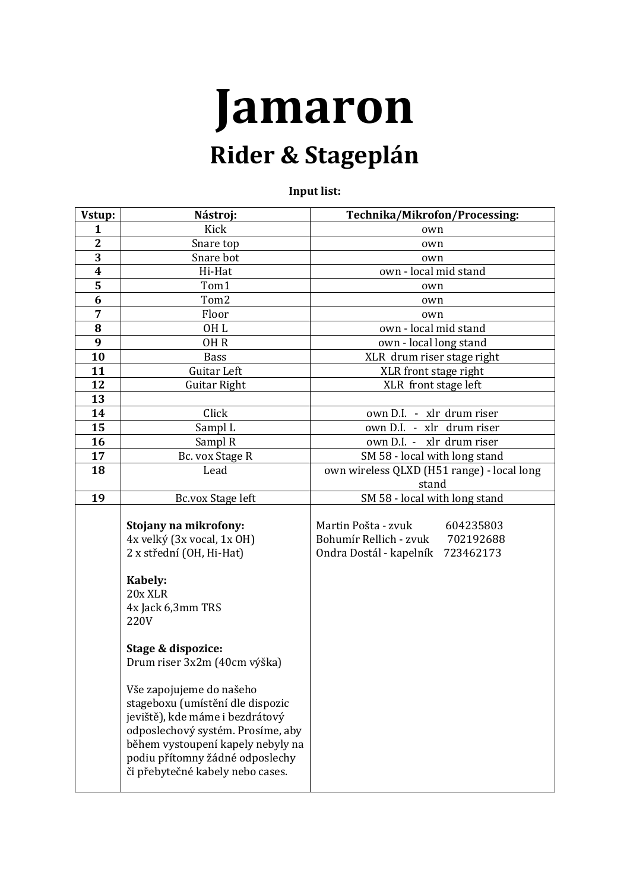## **Jamaron Rider & Stageplán**

**Input list:**

| Vstup:                  | Nástroj:                                                                                                                                                                                                                                         | Technika/Mikrofon/Processing:              |
|-------------------------|--------------------------------------------------------------------------------------------------------------------------------------------------------------------------------------------------------------------------------------------------|--------------------------------------------|
| 1                       | Kick                                                                                                                                                                                                                                             | own                                        |
| $\mathbf{2}$            | Snare top                                                                                                                                                                                                                                        | own                                        |
| $\overline{3}$          | Snare bot                                                                                                                                                                                                                                        | own                                        |
| $\boldsymbol{4}$        | Hi-Hat                                                                                                                                                                                                                                           | own - local mid stand                      |
| $\overline{\mathbf{5}}$ | Tom1                                                                                                                                                                                                                                             | own                                        |
| 6                       | Tom2                                                                                                                                                                                                                                             | own                                        |
| 7                       | Floor                                                                                                                                                                                                                                            | own                                        |
| 8                       | OH <sub>L</sub>                                                                                                                                                                                                                                  | own - local mid stand                      |
| 9                       | OH <sub>R</sub>                                                                                                                                                                                                                                  | own - local long stand                     |
| 10                      | <b>Bass</b>                                                                                                                                                                                                                                      | XLR drum riser stage right                 |
| 11                      | Guitar Left                                                                                                                                                                                                                                      | XLR front stage right                      |
| 12                      | <b>Guitar Right</b>                                                                                                                                                                                                                              | XLR front stage left                       |
| 13                      |                                                                                                                                                                                                                                                  |                                            |
| 14                      | Click                                                                                                                                                                                                                                            | own D.I. - xlr drum riser                  |
| 15                      | Sampl L                                                                                                                                                                                                                                          | own D.I. - xlr drum riser                  |
| 16                      | Sampl R                                                                                                                                                                                                                                          | own D.I. - xlr drum riser                  |
| 17                      | Bc. vox Stage R                                                                                                                                                                                                                                  | SM 58 - local with long stand              |
| 18                      | Lead                                                                                                                                                                                                                                             | own wireless QLXD (H51 range) - local long |
|                         |                                                                                                                                                                                                                                                  | stand                                      |
| 19                      | Bc.vox Stage left                                                                                                                                                                                                                                | SM 58 - local with long stand              |
|                         | Stojany na mikrofony:                                                                                                                                                                                                                            | Martin Pošta - zvuk<br>604235803           |
|                         | 4x velký (3x vocal, 1x OH)                                                                                                                                                                                                                       | Bohumír Rellich - zvuk<br>702192688        |
|                         | 2 x střední (OH, Hi-Hat)                                                                                                                                                                                                                         | Ondra Dostál - kapelník<br>723462173       |
|                         |                                                                                                                                                                                                                                                  |                                            |
|                         | Kabely:<br>20x XLR<br>4x Jack 6,3mm TRS<br>220V                                                                                                                                                                                                  |                                            |
|                         | Stage & dispozice:<br>Drum riser 3x2m (40cm výška)                                                                                                                                                                                               |                                            |
|                         | Vše zapojujeme do našeho<br>stageboxu (umístění dle dispozic<br>jeviště), kde máme i bezdrátový<br>odposlechový systém. Prosíme, aby<br>během vystoupení kapely nebyly na<br>podiu přítomny žádné odposlechy<br>či přebytečné kabely nebo cases. |                                            |